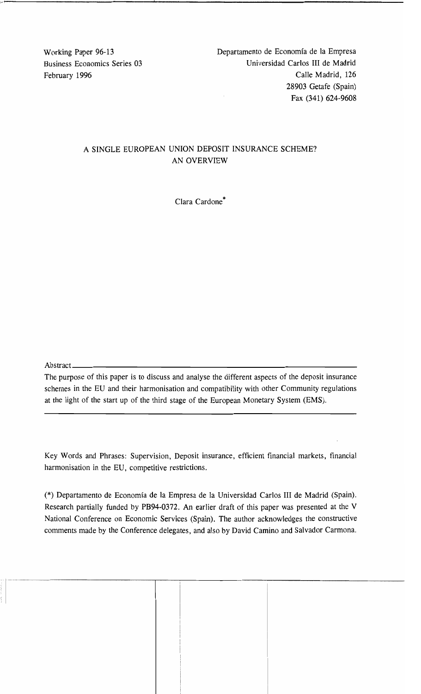Working Paper 96-13 Departamento de Economía de la Empresa Business Economics Series 03 Universidad Carlos III de Madrid February 1996 Calle Madrid, 126 28903 Getafe (Spain) Fax (341) 624-9608

# A SINGLE EUROPEAN UNION DEPOSIT INSURANCE SCHEME? AN OVERVIEW

1.'1-"1----- --1. \_

Clara Cardone\*

Abstract  $\overline{a}$ 

The purpose of this paper is to discuss and analyse the different aspects of the deposit insurance schemes in the EU and their harmonisation and compatibility with other Community regulations at the light of the start up of the third stage of the European Monetary System (EMS).

Key Words and Phrases: Supervision, Deposit insurance, efficient financial markets, financial harmonisation in the EU, competitive restrictions.

(\*) Departamento de Economía de la Empresa de la Universidad Carlos III de Madrid (Spain). Research partially funded by PB94-0372. An earlier draft of this paper was presented at the V National Conference on Economic Services (Spain). The author acknowledges the constructive comments made by the Conference delegates, and also by David Camino and Salvador Carmona.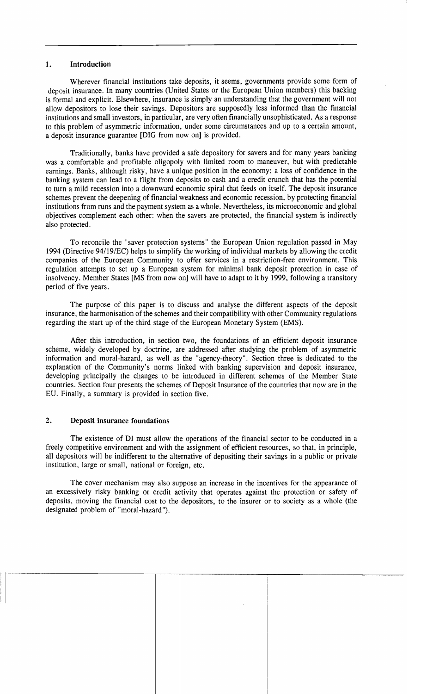## 1. Introduction

Wherever financial institutions take deposits, it seems, governments provide some form of deposit insurance. In many countries (United States or the European Union members) this backing is formal and explicit. Elsewhere, insurance is simply an understanding that the government will not allow depositors to lose their savings. Depositors are supposedly less informed than the financial institutions and small investors, in particular, are very ofien financially unsophisticated. As a response to this problem of asymmetric information, under sorne circumstances and up to a certain amount, a deposit insurance guarantee [DIO from now on] is provided.

Traditionally, banks have provided a safe depository for savers and for many years banking was a comfortable and profitable oligopoly with limited room to maneuver, but with predictable earnings. Banks, although risky, have a unique position in the economy: a loss of confidence in the banking system can lead to a flight from deposits to cash and a credit crunch that has the potential to turn a mild recession into a downward economic spiral that feeds on itself. The deposit insurance schemes prevent the deepening of financial weakness and economic recession, by protecting financial institutions from runs and the payment system as a whole. Nevertheless, its microeconomic and global objectives complement each other: when the savers are protected, the financial system is indirectly also protected.

To reconcile the "saver protection systems" the European Union regulation passed in May 1994 (Directive 94/19/EC) helps to simplify the working of individual markets by allowing the credit companies of the European Community to offer services in a restriction-free environment. This regulation attempts to set up a European system for minimal bank deposit protection in case of insolvency. Member States [MS from now on] will have to adapt to it by 1999, following a transitory period of five years.

The purpose of this paper is to discuss and analyse the different aspects of the deposit insurance, the harmonisation of the schemes and their compatibility with other Community regulations regarding the start up of the third stage of the European Monetary System (EMS).

Afier this introduction, in section two, the foundations of an efficient deposit insurance scheme, widely developed by doctrine, are addressed afier studying the problem of asymmetric information and moral-hazard, as well as the "agency-theory". Section three is dedicated to the explanation of the Community's norms linked with banking supervision and deposit insurance, developing principally the changes to be introduced in different schemes of the Member State countries. Section four presents the schemes of Deposit Insurance of the countries that now are in the EU. Finally, a summary is provided in section five.

## 2. Deposit insurance foundations

The existence of DI must allow the operations of the financial sector to be conducted in a freely competitive environment and with the assignment of efficient resources, so that, in principie, all depositors will be indifferent to the alternative of depositing their savings in a public or private institution, large or small, national or foreign, etc.

The cover mechanism may also suppose an increase in the incentives for the appearance of an excessively risky banking or credit activity that operates against the protection or safety of deposits, moving the financial cost to the depositors, to the insurer or to society as a whole (the designated problem of "moral-hazard").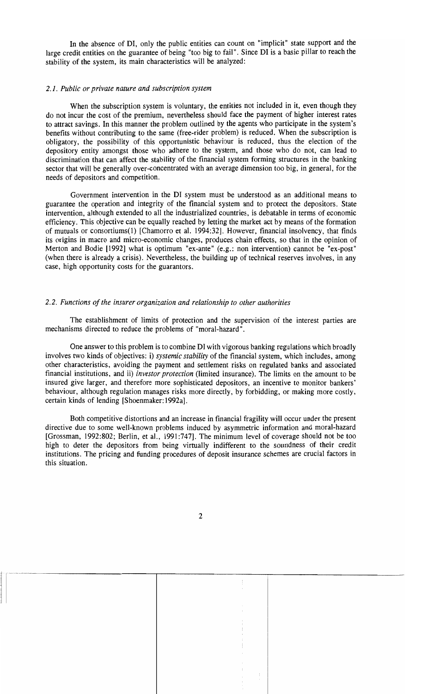In the absence of DI, only the public entities can count on "implicit" state support and the large credit entities on the guarantee of being "too big to fail". Since DI is a basic pillar to reach the stability of the system, its main characteristics will be analyzed:

#### *2.1. Public or private nature and subscription system*

When the subscription system is voluntary, the entities not included in it, even though they do not incur the cost of the premium, nevertheless should face the payment of higher interest rates to attract savings. In this manner the problem outlined by the agents who participate in the system's benefits without contributing to the same (free-rider problem) is reduced. When the subscription is obligatory, the possibility of this opportunistic behaviour is reduced, thus the election of the depository entity amongst those who adhere to the system, and those who do not, can lead to discrimination that can affect the stability of the financial system forming structures in the banking sector that will be generally over-concentrated with an average dimension too big, in general, for the needs of depositors and competition.

Government intervention in the DI system must be understood as an additional means to guarantee the operation and integrity of the financial system and to protect the depositors. State intervention, although extended to all the industrialized countries, is debatable in terms of economic efficiency. This objective can be equally reached by letting the market act by means of the formation of mutuals or consortiums(l) [Chamorro et al. 1994:32]. However, financial insolvency, that finds its origins in macro and micro-economic changes, produces chain effects, so that in the opinion of Merton and Bodie [1992] what is optimum "ex-ante" (e.g.: non intervention) cannot be "ex-post" (when there is already a crisis). Nevertheless, the building up of technical reserves involves, in any case, high opportunity costs for the guarantors.

#### *2.2. Funetions of the insurer organization and relationship to other authorities*

The establishment of limits of protection and the supervision of the interest parties are mechanisms directed to reduce the problems of "moral-hazard".

One answer to this problem is to combine DI with vigorous banking regulations which broadly involves two kinds of objectives: i) *systemie stability* of the financial system, which includes, among other characteristics, avoiding the payment and settlement risks on regulated banks and associated financial institutions, and ii) *investor proteetion* (limited insurance). The limits on the amount to be insured give larger, and therefore more sophisticated depositors, an incentive to monitor bankers' behaviour, although regulation manages risks more directly, by forbidding, or making more costly, certain kinds of lending [Shoenmaker: 1992a].

Both competitive distortions and an increase in financial fragility will occur under the present directive due to some well-known problems induced by asymmetric information and moral-hazard [Grossman, 1992:802; Berlin, et al., 1991:747]. The minimum level of coverage should not be too high to deter the depositors from being virtually indifferent to the soundness of their credit institutions. The pricing and funding procedures of deposit insurance schemes are crucial factors in this situation.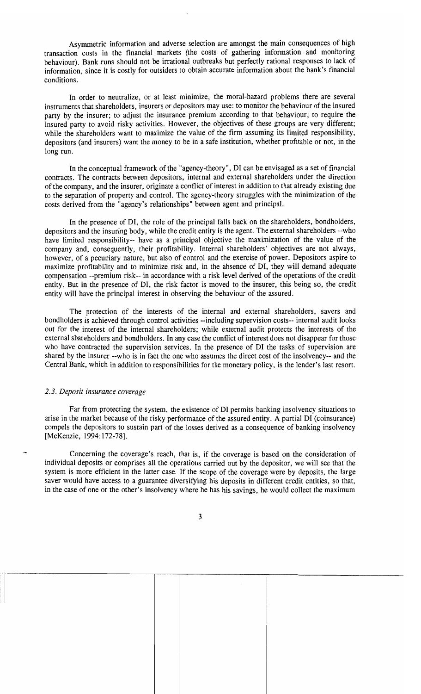Asymmetric information and adverse selection are amongst the main consequences of high transaction costs in the financial markets (the costs of gathering information and monitoring behaviour). Bank runs should not be irrational outbreaks but perfectly rational responses to lack of information, since it is costly for outsiders to obtain accurate information about the bank's financial conditions.

In order to neutralize, or at least minimize, the moral-hazard problems there are several instruments that shareholders, insurers or depositors may use: to monitor the behaviour of the insured party by the insurer; to adjust the insurance premium according to that behaviour; to require the insured party to avoid risky activities. However, the objectives of these groups are very different; while the shareholders want to maximize the value of the firm assuming its limited responsibility, depositors (and insurers) want the money to be in a safe institution, whether profitable or not, in the long run.

In the conceptual framework of the "agency-theory", DI can be envisaged as a set of financial contracts. The contracts between depositors, internal and external shareholders under the direction of the company, and the insurer, originate a conflict of interest in addition to that already existing due to the separation of property and control. The agency-theory struggles with the minimization of the costs derived from the "agency's relationships" between agent and principal.

In the presence of DI, the role of the principal falls back on the shareholders, bondholders, depositors and the insuring body, while the credit entity is the agent. The external shareholders --who have limited responsibility-- have as a principal objective the maximization of the value of the company and, consequently, their profitability. Internal shareholders' objectives are not always, however, of a pecuniary nature, but also of control and the exercise of power. Depositors aspire to maximize profitability and to minimize risk and, in the absence of DI, they will demand adequate compensation --premium risk-- in accordance with a risk level derived of the operations of the credit entity. But in the presence of DI, the risk factor is moved to the insurer, this being so, the credit entity will have the principal interest in observing the behaviour of the assured.

The protection of the interests of the internal and external shareholders, savers and bondholders is achieved through control activities --including supervision costs-- internal audit looks out for the interest of the internal shareholders; while external audit protects the interests of the external shareholders and bondholders. In any case the conflict of interest does not disappear for those who have contracted the supervision services. In the presence of DI the tasks of supervision are shared by the insurer --who is in fact the one who assumes the direct cost of the insolvency-- and the Central Bank, which in addition to responsibilities for the monetary policy, is the lender's last resort.

#### *2.3. Deposit insurance coverage*

Far from protecting the system, the existence of DI permits banking insolvency situations 10 arise in the market because of the risky performance of the assured entity. A partial DI (coinsurance) compels the depositors to sustain part of the losses derived as a consequence of banking insolvency [McKenzie, 1994: 172-78].

Concerning the coverage's reach, that is, if the coverage is based on the consideration of individual deposits or comprises all the operations carried out by the depositor, we will see that the system is more efficient in the latter case. If the scope of the coverage were by deposits, the large saver would have access to a guarantee diversifying his deposits in different credit entities, so that, in the case of one or the other's insolvency where he has his savings, he would collect the maximum

3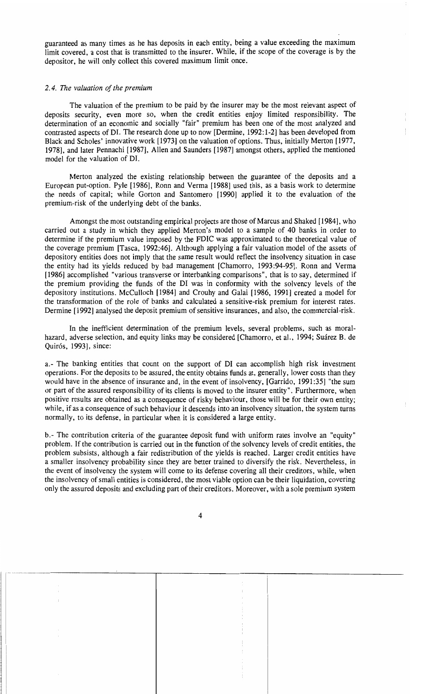guaranteed as many times as he has deposits in each entity, being a value exceeding the maximum limit covered, a cost that is transmitted to the insurer. While, if the scope of the coverage is by the depositor, he will only collect this covered maximum limit once.

#### *2.4. The valuation 01 the premium*

The valuation of the premium to be paid by the insurer may be the most relevant aspect of deposits security, even more so, when the credit entities enjoy limited responsibility. The determination of an economic and socially "fair" premium has been one of the most analyzed and contrasted aspects of DI. The research done up to now [Dermine, 1992: 1-2] has been developed from Black and Scholes' innovative work [1973] on the valuation of options. Thus, initially Merton [1977, 1978], and later Pennachi [1987], Allen and Saunders [1987] amongst others, applied the mentioned model for the valuation of DI.

Merton analyzed the existing relationship between the guarantee of the deposits and a European put-option. Pyle [1986], Ronn and Yerma [1988] used this, as a basis work to determine the needs of capital; while Gorton and Santomero [1990] applied it to the evaluation of the premium-risk of the underlying debt of the banks.

Amongst the most outstanding empirical projects are those of Marcus and Shaked [1984], who carried out a study in which they applied Merton's model to a sample of 40 banks in order to determine if the premium value imposed by the FDIC was approximated to the theoretical value of the coverage premium [Tasca, 1992:46]. Although applying a fair valuation model of the assets of depository entities does not imply that the same result would retlect the insolvency situation in case the entity had its yields reduced by bad management [Chamorro, 1993:94-95]. Ronn and Yerma [1986] accomplished "various transverse or interbanking comparisons", that is to say, determined if the premium providing the funds of the DI was in conformity with the solvency levels of the depository institutions. McCulloch [1984] and Crouhy and Galai [1986, 1991] created a model for the transformation of the role of banks and calculated a sensitive-risk premium for interest rates. Dermine [1992] analysed the deposit premium of sensitive insurances, and also, the commercial-risk.

In the inefficient determination of the premium levels, several problems, such as moralhazard, adverse selection, and equity links may be considered [Chamorro, et al., 1994; Suárez B. de Quirós, 1993], since:

a.- The banking entities that count on the support of DI can accomplish high risk investment operations. For the deposits to be assured, the entity obtains funds at, generally, lower costs than they would have in the absence of insurance and, in the event of insolvency, [Garrido, 1991:35] "the sum or part of the assured responsibility of its clients is moved to the insurer entity". Furthermore, when positive results are obtained as a consequence of risky behaviour, those will be for their own entity; while, if as a consequence of such behaviour it descends into an insolvency situation, the system turns normally, to its defense, in particular when it is considered a large entity.

b.- The contribution criteria of the guarantee deposit fund with uniform rates involve an "equity" problem. If the contribution is carried out in the function of the solvency levels of credit entities, the problem subsists, although a fair redistribution of the yields is reached. Larger credit entities have a smaller insolvency probability since they are better trained to diversify the risk. Nevertheless, in the event of insolvency the system will come to its defense covering all their creditors, while, when the insolvency of small entities is considered, the most viable option can be their liquidation, covering only the assured deposits and excluding part of their creditors. Moreover, with asole premium system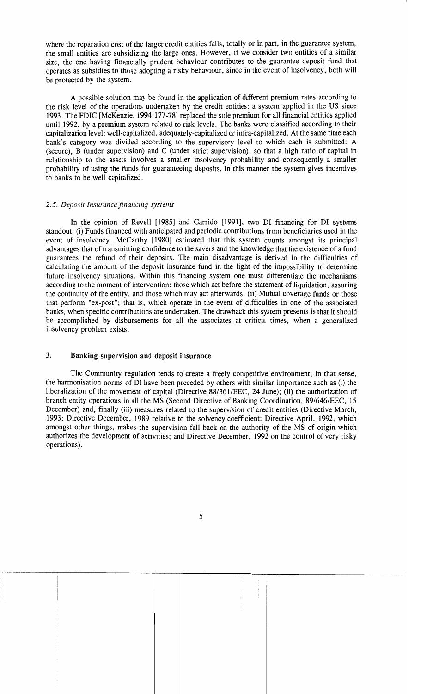where the reparation cost of the larger credit entities falls, totally or in part, in the guarantee system, the small entities are subsidizing the large ones. However, if we consider two entities of a similar size, the one having financially prudent behaviour contributes to the guarantee deposit fund that operates as subsidies to those adopting a risky behaviour, since in the event of insolvency, both will be protected by the system.

A possible solution may be found in the application of different premium rates according to the risk level of the operations undertaken by the credit entities: a system applied in the US since 1993. The FDIC [McKenzie, 1994: 177-78] replaced the sole premium for all financial entities applied until 1992, by a premium system related to risk levels. The banks were classified according to their capitalization level: well-capitalized, adequately-capitalized or infra-capitalized. At the same time each bank's category was divided according to the supervisory level to which each is submitted: A (secure), B (under supervision) and C (under strict supervision), so that a high ratio of capital in relationship to the assets involves a smaller insolvency probability and consequently a smaller probability of using the funds for guaranteeing deposits. In this manner the system gives incentives to banks to be well capitalized.

#### 2.5. Deposit Insurance financing systems

In the opinion of Revell [1985] and Garrido [1991], two DI financing for DI systems standout. (i) Funds financed with anticipated and periodic contributions from beneficiaries used in the event of insolvency. McCarthy [1980] estimated that this system counts amongst its principal advantages that of transmitting confidence to the savers and the knowledge that the existence of a fund guarantees the refund of their deposits. The main disadvantage is derived in the difficulties of calculating the amount of the deposit insurance fund in the light of the impossibility to determine future insolvency situations. Within this financing system one must differentiate the mechanisms according to the moment of intervention: those which act before the statement of liquidation, assuring the continuity of the entity, and those which may act afterwards. (ii) Mutual coverage funds or those that perform "ex-post"; that is, which operate in the event of difficulties in one of the associated banks, when specific contributions are undertaken. The drawback this system presents is that it should be accomplished by disbursements for all the associates at critical times, when a generalized insolvency problem exists.

#### 3. Banking supervision and deposit insurance

The Community regulation tends to create a freely competitive environment; in that sense, the harmonisation norms of DI have been preceded by others with similar importance such as (i) the liberalization of the movement of capital (Directive  $88/361/EEC$ , 24 June); (ii) the authorization of branch entity operations in all the MS (Second Directive of Banking Coordination, 89/646/EEC, 15 December) and, finally (iii) measures related to the supervision of credit entities (Directive March, 1993; Directive December, 1989 relative to the solvency coefficient; Directive April, 1992, which amongst other things, makes the supervision fall back on the authority of the MS of origin which authorizes the development of activities; and Directive December, 1992 on the control of very risky operations) .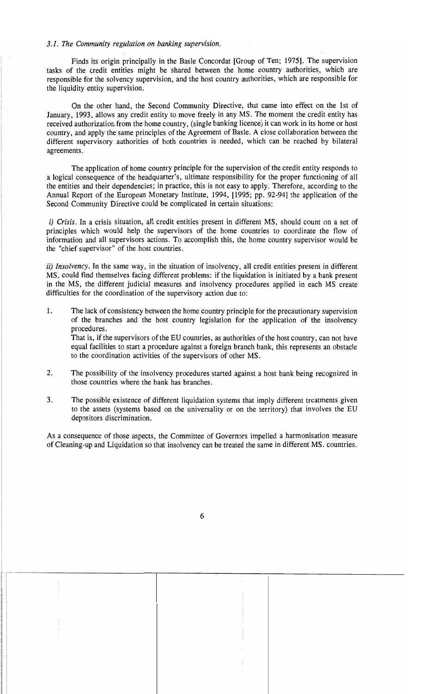#### *3.1. The Community regulation on banking supervision.*

Finds its origin principal1y in the Basle Concordat [Group of Ten; 1975]. The supervision tasks of the credit entities might be shared between the home country authorities, which are responsible for the solvency supervision, and the host country authorities, which are responsible for the liquidity entity supervision.

On the other hand, the Second Community Directive, that came into effect on the 1st of January, 1993, allows any credit entity to move freely in any MS. The moment the credit entity has received authorization from the home country, (single banking licence) it can work in its home or host country, and apply the same principles of the Agreement of Basle. A close collaboration between the different supervisory authorities of both countries is needed, which can be reached by bilateral agreements.

The application of horne country principie for the supervision of the credit entity responds to a logical consequence of the headquarter's, ultimate responsibility for the proper functioning of all the entities and their dependencies; in practice, this is not easy to apply. Therefore, according to the Annual Report of the European Monetary Institute, 1994, [1995; pp. 92-94] the application of the Second Community Directive could be complicated in certain situations:

*i)* Crisis. In a crisis situation, all credit entities present in different MS, should count on a set of principies which would help the supervisors of the horne countries to coordinate the tlow of inforrnation and aH supervisors actions. To accornplish this, the horne country supervisor would be the "chief supervisor" of the host countries.

ii) *Insolvency*. In the same way, in the situation of insolvency, all credit entities present in different MS, could find themselves facing different problems: if the liquidation is initiated by a bank present in the MS, the different judicial measures and insolvency procedures applied in each MS create difficulties for the coordination of the supervisory action due to:

1. The lack of consistency between the home country principle for the precautionary supervision of the branches and the host country legislation for the application of the insolvency procedures.

That is, if the supervisors of the EU countries, as authorities of the host country, can not have equal facilities to start a procedure against a foreign branch bank, this represents an obstacle to the coordination activities of the supervisors of other MS.

- 2. The possibility of the insolvency procedures started against a host bank being recognized in those countries where the bank has branches.
- 3. The possible existence of different liquidation systems that imply different treatments given to the assets (systerns based on the universality or on the territory) that involves the EU depositors discrimination.

As a consequence of those aspects, the Committee of Governors impelled a harmonisation measure of Cleaning-up and Liquidation so that insolvency can be treated the sarne in different MS. countries.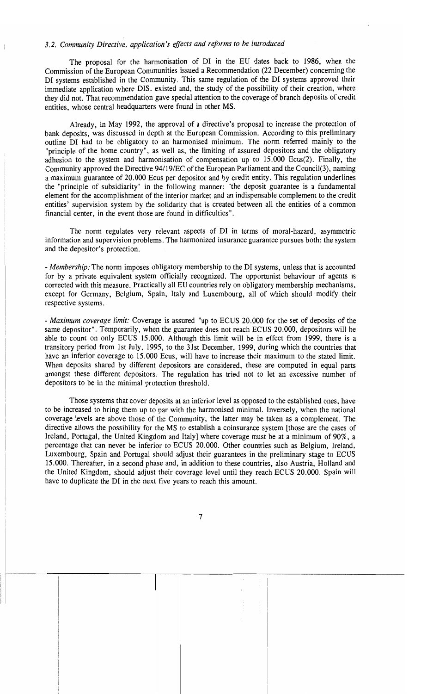# *3.2. Community Directive, application's effects and reforms ro be introduced*

The proposal for the harmonisation of DI in the EU dates back to 1986, when the Commission of the European Communities issued a Recommendation (22 December) concerning the DI systems established in the Community. This same regulation of the DI systems approved their immediate application where DIS. existed and, the study of the possibility of their creation, where they did not. That recommendation gave special attention to the coverage of branch deposits of credit entities, whose central headquarters were found in other MS.

Already, in May 1992, the approval of a directive's proposal to increase the protection of bank deposits, was discussed in depth at the European Commission. According to this preliminary outline DI had to be obligatory to an harmonised minimum. The norm referred mainly to the "principie of the home country", as well as, the limiting of assured depositors and the obligatory adhesion to the system and harmonisation of compensation up to 15.000 Ecus(2). Finally, the Community approved the Directive 94/19/EC of the European Parliament and the Council(3), naming a maximum guarantee of 20.000 Ecus per depositor and by credit entity. This regulation underlines the "principie of subsidiarity" in the following manner: "the deposit guarantee is a fundamental element for the accomplishment of the interior market and an indispensable complement to the credit entities' supervision system by the solidarity that is created between all the entities of a common financial center, in the event those are found in difficulties".

The norm regulates very relevant aspects of DI in terms of moral-hazard, asymmetric information and supervision problems. The harmonized insurance guarantee pursues both: the system and the depositor's protection.

*- Membership:* The norm imposes obligatory membership to the DI systems, unless that is accounted for by a private equivalent system officially recognized. The opportunist behaviour of agents is corrected with this measure. Practically all EU countries rely on obligatory membership mechanisms, except for Germany, Belgium, Spain, Italy and Luxembourg, all of which should modify their respective systems.

*- Maximum coverage limit:* Coverage is assured "up to ECUS 20.000 for the set of deposits of the same depositor". Temporarily, when the guarantee does not reach ECUS 20.000, depositors will be able to count on only ECUS 15.000. Although this limit will be in effect from 1999, there is a transitory period from 1st July, 1995, to the 31st December, 1999, during which the countries that have an inferior coverage to 15.000 Ecus, will have to increase their maximum to the stated limit. When deposits shared by different depositors are considered, these are computed in equal parts amongst these different depositors. The regulation has tried not to let an excessive number of depositors to be in the minimal protection threshold.

Those systems that cover deposits at an inferior level as opposed to the established ones, have to be increased to bring them up to par with the harmonised minima!. Inversely, when the national coverage levels are aboye those of the Community, the latter may be taken as a complement. The directive allows the possibility for the MS to establish a coinsurance system [those are the cases of Ireland, Portugal, the United Kingdom and Italy] where coverage must be at a minimum of 90%, a percentage that can never be inferior to ECUS 20.000. Other countries such as Belgium, Ireland, Luxembourg, Spain and Portugal should adjust their guarantees in the preliminary stage to ECUS 15.000. Thereafter, in a second phase and, in addition to these countries, also Austria, Holland and the United Kingdom, should adjust their coverage level until they reach ECUS 20.000. Spain will have to duplicate the DI in the next five years to reach this amount.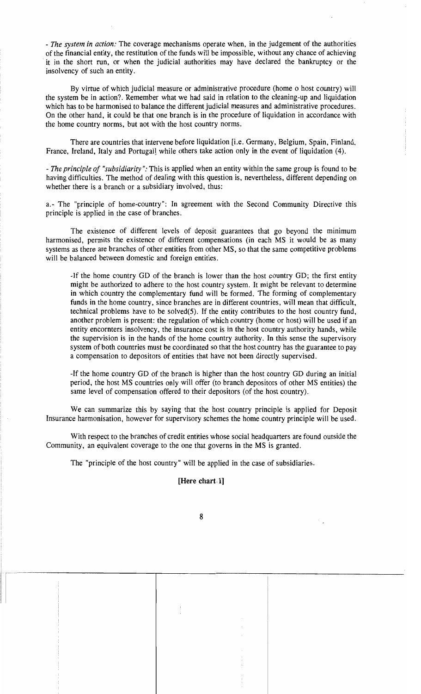*- The system in action:* The coverage mechanisms operate when, in the judgement of the authorities of the financial entity, the restitution of the funds will be impossible, without any chance of achieving . it in the short run, or when the judicial authorities may have declared the bankruptcy or the insolvency of such an entity.

By virtue of which judicial measure or administrative procedure (home o host country) will the system be in action? Remember what we had said in relation to the cleaning-up and liquidation which has to be harmonised to balance the different judicial measures and administrative procedures. On the other hand, it could be that one branch is in the procedure of liquidation in accordance with the home country norms, but not with the host country norms.

There are countries that intervene before liquidation [i.e. Germany, Belgium, Spain, Finland, France, Ireland, Italy and Portugal] while others take action only in the event of liquidation (4).

- The *principIe of "subsidiarity":* This is applied when an entity within the same group is found to be having difficulties. The method of dealing with this question is, nevertheless, different depending on whether there is a branch or a subsidiary involved, thus:

a.- The "principle of home-country": In agreement with the Second Community Directive this principIe is applied in the case of branches.

The existence of different levels of deposit guarantees that go beyond the minimum harmonised, permits the existence of different compensations (in each MS it would be as many systems as there are branches of other entities from other MS, so that the same competitive problems will be balanced between domestic and foreign entities.

-If the home country GD of the branch is lower than the host country GD; the first entity might be authorized to adhere to the host country system. It might be relevant to determine in which country the complementary fund will be formed. The forming of complementary funds in the home country, since branches are in different countries, will mean that difficult, technical problems have to be solved(5). If the entity contributes to the host country fund, another problem is present: the regulation of which country (home or host) will be used if an entity encornters insolvency, the insurance cost is in the host country authority hands, while the supervision is in the hands of the home country authority. In this sense the supervisory system of both countries must be coordinated so that the host country has the guarantee to pay a compensation to depositors of entities that have not been directly supervised.

-If the home country GD of the branch is higher than the host country GD during an initial period, the host MS countries only will offer (to branch depositors of other MS entities) the same level of compensation offered to their depositors (of the host country).

We can summarize this by saying that the host country principle is applied for Deposit Insurance harmonisation, however for supervisory schemes the home country principle will be used.

With respect to the branches of credit entities whose social headquarters are found outside the Community, an equivalent coverage to the one that governs in the MS is granted.

The "principle of the host country" will be applied in the case of subsidiaries.

## [Here chart.l]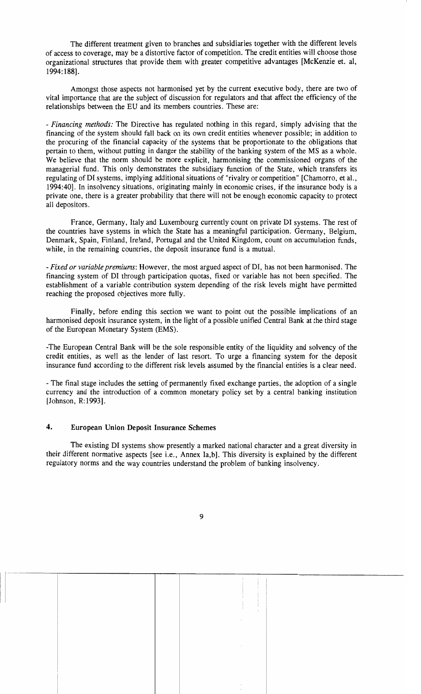The different treatment given to branches and subsidiaries together with the different levels of access to coverage, may be a distortive factor of competition. The credit entities will choose those organizational structures that provide them with greater competitive advantages [McKenzie et. al. 1994:188].

Amongst those aspects not harmonised yet by the current executive body, there are two of vital importance that are the subject of discussion for regulators and that affect the efficiency of the relationships between the EU and its members countries. These are:

*- Financing methods:* The Directive has regulated nothing in this regard, simply advising that the financing of the system should fall back on its own credit entities whenever possible; in addition to the procuring of the financial capacity of the systems that be proportionate to the obligations that pertain to them, without putting in danger the stability of the banking system of the MS as a whole. We believe that the norm should be more explicit, harmonising the commissioned organs of the managerial fund. This only demonstrates the subsidiary function of the State, which transfers its regulating of DI systems, implying additional situations of "rivalry or competition" [Chamorro, et al., 1994:40]. In insolvency situations, originating mainly in economic crises, if the insurance body is a private one, there is a greater probability that there will not be enough economic capacity to protect all depositors.

France, Germany, Italy and Luxembourg currently count on private DI systems. The rest of the countries have systems in which the State has a meaningful participation. Germany, Belgium, Denmark, Spain, Finland, Ireland, Portugal and the United Kingdom, count on accumulation funds, while, in the remaining countries, the deposit insurance fund is a mutual.

*- Fixed or variable premiums:* However, the most argued aspect of DI, has not been harmonised. The financing system of DI through participation quotas, fixed or variable has not been specified. The establishment of a variable contribution system depending of the risk levels might have permitted reaching the proposed objectives more fully.

Finally, before ending this section we want to point out the possible implications of an harmonised deposit insurance system, in the light of a possible unified Central Bank at the third stage of the European Monetary System (EMS).

-The European Central Bank will be the sole responsible entity of the liquidity and solvency of the credit entities, as well as the lender of last resort. To urge a financing system for the deposit insurance fund according to the different risk levels assumed by the financial entities is a clear need.

- The final stage includes the setting of permanently fixed exchange parties, the adoption of a single currency and the introduction of a common monetary policy set by a central banking institution [Johnson, R:1993].

## 4. European Union Deposit Insurance Schemes

The existing DI systems show presently a marked national character and a great diversity in their different normative aspects [see i.e., Annex Ia,b]. This diversity is explained by the different regulatory norms and the way countries understand the problem of banking insolvency.

9

-~-""-------;-----------r---r----------"--------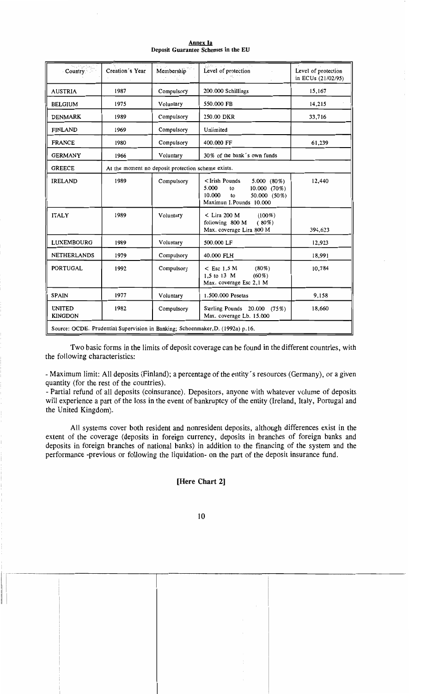#### Annex Ia Deposit Guarantee Schemes in the EU

| Country                                                                        | Creation's Year                                    | Membership | Level of protection                                                                                                                                                | Level of protection<br>in ECUs (21/02/95) |  |  |  |
|--------------------------------------------------------------------------------|----------------------------------------------------|------------|--------------------------------------------------------------------------------------------------------------------------------------------------------------------|-------------------------------------------|--|--|--|
| <b>AUSTRIA</b>                                                                 | 1987                                               | Compulsory | 200.000 Schillings                                                                                                                                                 | 15,167                                    |  |  |  |
| <b>BELGIUM</b>                                                                 | 1975                                               | Voluntary  | 550.000 FB                                                                                                                                                         | 14,215                                    |  |  |  |
| <b>DENMARK</b>                                                                 | 1989                                               | Compulsory | 250.00 DKR                                                                                                                                                         | 33,716                                    |  |  |  |
| <b>FINLAND</b>                                                                 | 1969                                               | Compulsory | Unlimited                                                                                                                                                          |                                           |  |  |  |
| <b>FRANCE</b>                                                                  | 1980                                               | Compulsory | 400.000 FF                                                                                                                                                         | 61,239                                    |  |  |  |
| <b>GERMANY</b>                                                                 | 1966                                               | Voluntary  | 30% of the bank's own funds                                                                                                                                        |                                           |  |  |  |
| <b>GREECE</b>                                                                  | At the moment no deposit protection scheme exists. |            |                                                                                                                                                                    |                                           |  |  |  |
| <b>IRELAND</b>                                                                 | 1989                                               | Compulsory | <irish pounds<br=""><math>5.000(80\%)</math><br/>5.000<br/><math>10.000(70\%)</math><br/>to<br/>10.000<br/>50.000 (50%)<br/>to<br/>Maximun I.Pounds 10.000</irish> | 12,440                                    |  |  |  |
| <b>ITALY</b>                                                                   | 1989                                               | Voluntary  | $<$ Lira 200 M<br>$(100\%)$<br>following 800 M<br>$(80\%)$<br>Max. coverage Lira 800 M                                                                             | 394,623                                   |  |  |  |
| LUXEMBOURG                                                                     | 1989                                               | Voluntary  | 500,000 LF                                                                                                                                                         | 12,923                                    |  |  |  |
| <b>NETHERLANDS</b>                                                             | 1979                                               | Compulsory | 40.000 FLH                                                                                                                                                         | 18,991                                    |  |  |  |
| <b>PORTUGAL</b>                                                                | 1992                                               | Compulsory | $<$ Esc 1.5 M<br>$(80\%)$<br>1,5 to 13 M<br>$(60\%)$<br>Max. coverage Esc 2,1 M                                                                                    | 10,784                                    |  |  |  |
| <b>SPAIN</b>                                                                   | 1977                                               | Voluntary  | 1.500.000 Pesetas                                                                                                                                                  | 9,158                                     |  |  |  |
| <b>UNITED</b><br><b>KINGDON</b>                                                | 1982                                               | Compulsory | Sterling Pounds 20.000 (75%)<br>Max. coverage Lb. 15.000                                                                                                           | 18,660                                    |  |  |  |
| Source: OCDE. Prudential Supervision in Banking; Schoenmaker, D. (1992a) p.16. |                                                    |            |                                                                                                                                                                    |                                           |  |  |  |

Two basic forms in the limits of deposit coverage can be found in the different countries, with the following characteristics:

- Maximum limit: All deposits (Finland); a percentage of the entity's resources (Germany), or a given quantity (for the rest of the countries).

- Partial refund of all deposits (coinsurance). Depositors, anyone with whatever volume of deposits will experience a part of the loss in the event of bankruptcy of the entity (Ireland, Italy, Portugal and the United Kingdom).

All systems cover both resident and nonresident deposits, although differences exist in the extent of the coverage (deposits in foreign currency, deposits in branches of foreign banks and deposits in foreign branches of national banks) in addition to the financing of the system and the performance -previous or following the liquidation- on the part of the deposit insurance fund.

## [Here Chart 2]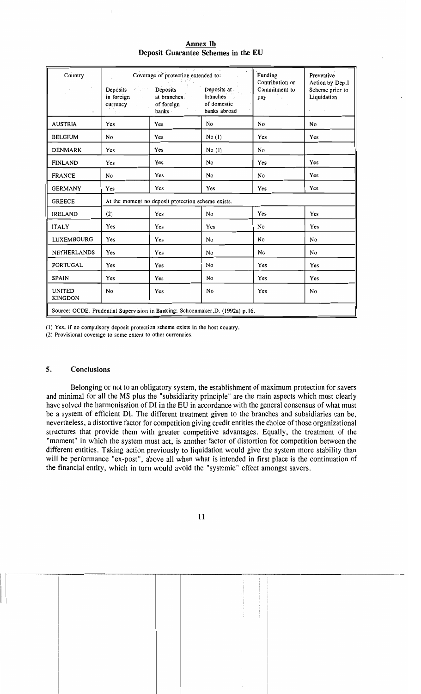| Country<br>$\ddot{\phantom{a}}$                                                | $\mathcal{E}^{\mathcal{P}}_{\mathcal{P}}(\mathcal{P},\mathcal{P})$ .<br>Deposits<br>in foreign<br>$\sim 10^{-11}$<br>currency<br>$\mathbb{R}^{n}$ . | Coverage of protection extended to:<br>Deposits<br>at branches<br>of foreign<br>banks ·<br>$\cdot$ | Deposits at<br><b>branches</b><br>of domestic<br>banks abroad | Funding<br>Contribution or<br>Commitment to<br>pay<br>$\sim$ $\mu$ | Preventive<br>Action by Dep.I<br>Scheme prior to<br>Liquidation |  |  |
|--------------------------------------------------------------------------------|-----------------------------------------------------------------------------------------------------------------------------------------------------|----------------------------------------------------------------------------------------------------|---------------------------------------------------------------|--------------------------------------------------------------------|-----------------------------------------------------------------|--|--|
| <b>AUSTRIA</b>                                                                 | Yes                                                                                                                                                 | Yes                                                                                                | No                                                            | N <sub>0</sub>                                                     | N <sub>0</sub>                                                  |  |  |
| <b>BELGIUM</b>                                                                 | No                                                                                                                                                  | Yes                                                                                                | No(1)                                                         | Yes                                                                | Yes                                                             |  |  |
| <b>DENMARK</b>                                                                 | Yes                                                                                                                                                 | Yes                                                                                                | No(1)                                                         | No                                                                 |                                                                 |  |  |
| <b>FINLAND</b>                                                                 | Yes                                                                                                                                                 | Yes                                                                                                | No                                                            | Yes                                                                | Yes                                                             |  |  |
| <b>FRANCE</b>                                                                  | N <sub>0</sub>                                                                                                                                      | Yes                                                                                                | No                                                            | N <sub>0</sub>                                                     | Yes                                                             |  |  |
| <b>GERMANY</b>                                                                 | Yes                                                                                                                                                 | Yes                                                                                                | Yes                                                           | Yes                                                                | Yes                                                             |  |  |
| <b>GREECE</b>                                                                  | At the moment no deposit protection scheme exists.                                                                                                  |                                                                                                    |                                                               |                                                                    |                                                                 |  |  |
| <b>IRELAND</b>                                                                 | (2)                                                                                                                                                 | Yes                                                                                                | No                                                            | Yes                                                                | Yes                                                             |  |  |
| <b>ITALY</b>                                                                   | Yes                                                                                                                                                 | Yes                                                                                                | Yes                                                           | N <sub>0</sub>                                                     | Yes                                                             |  |  |
| LUXEMBOURG                                                                     | Yes                                                                                                                                                 | Yes                                                                                                | No                                                            | No                                                                 | N <sub>0</sub>                                                  |  |  |
| <b>NETHERLANDS</b>                                                             | Yes                                                                                                                                                 | Yes                                                                                                | N <sub>0</sub>                                                | No                                                                 | No                                                              |  |  |
| <b>PORTUGAL</b>                                                                | Yes                                                                                                                                                 | Yes                                                                                                | No                                                            | Yes                                                                | Yes                                                             |  |  |
| <b>SPAIN</b>                                                                   | Yes                                                                                                                                                 | Yes                                                                                                | No                                                            | Yes                                                                | Yes                                                             |  |  |
| <b>UNITED</b><br><b>KINGDON</b>                                                | No                                                                                                                                                  | Yes                                                                                                | No                                                            | Yes                                                                | No                                                              |  |  |
| Source: OCDE. Prudential Supervision in Banking; Schoenmaker, D. (1992a) p.16. |                                                                                                                                                     |                                                                                                    |                                                               |                                                                    |                                                                 |  |  |

Annex Ib Deposit Guarantee Schemes in the EU

(1) Yes, if no compulsory deposit protection scheme exists in the host country.

(2) Provisional coverage to some extent to other currencies.

#### 5. **Conclusions**

Belonging or not to an obligatory system, the establishment of maximum protection for savers and minimal for all the MS plus the "subsidiarity principle" are the main aspects which most clearly have solved the harmonisation of DI in the EU in accordance with the general consensus of what must be a system of efficient DI. The different treatment given to the branches and subsidiaries can be, nevertheless, a distortive factor for competition giving credit entities the choice of those organizational structures that provide them with greater competitive advantages. Equally, the treatment of the "moment" in which the system must act, is another factor of distortion for competition between the different entities. Taking action previously to liquidation would give the system more stability than will be performance "ex-post", above all when what is intended in first place is the continuation of the financial entity, which in turn would avoid the "systemic" effect amongst savers.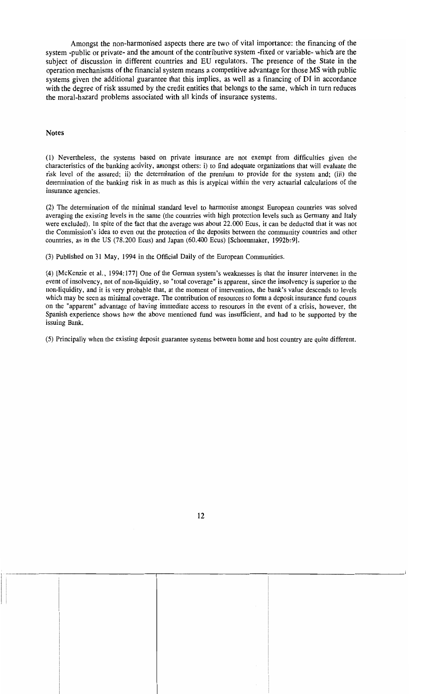Amongst the non-harmonised aspects there are two of vital importance: the financing of the system -public or private- and the amount of the contributive system -fixed or variable- which are the subject of discussion in different countries and EU regulators. The presence of the State in the operation mechanisms ofthe financial system means a competitive advantage for those MS with public systems given the additional guarantee that this implies, as we11 as a financing of **DI** in accordance with the degree of risk assumed by the credit entities that belongs to the same, which in turn reduces the moral-hazard problems associated with a11 kinds of insurance systems.

#### Notes

(1) Nevenheless, the systems based on private insurance are not exempt from difficulties given the characteristics of the banking activity, amongst others: i) to find adequate organizations that will evaluate the risk level of the assured; ii) the determination of the premium to provide for the system and; (iii) the determination of the banking risk in as much as this is atypical within the very actuarial calculations of the insurance agencies.

(2) The determination of the minimal standard level to harmonise amongst European countries was solved averaging the existing levels in the same (the countries with high protection levels such as Germany and Italy were excluded). In spite of the fact that the average was about 22.000 Ecus, it can be deducted that it was not the Conmission's idea to even out the protection of the deposits between the conmunity countries and other countries, as in the US (78.200 Ecus) and Japan (60.400 Ecus) [Schoenmaker, 1992b:9].

(3) Published on 31 May, 1994 in the Official Daily of the European Communities.

(4) [McKenzie et al., 1994:177] One of the German system's weaknesses is that the insurer intervenes in the event of insolvency, not of non-liquidity, so "total coverage" is apparent, since the insolvency is superior to the non-liquidity, and it is very probable that, at the moment of intervention, the bank's value descends to levels which may be seen as minimal coverage. The contribution of resources to form a deposit insurance fund counts on the "apparent" advantage of having immediate access to resources in the event of a crisis, however, the Spanish experience shows how the aboye mentioned fund was insufficient, and had to be supported by the issuing Bank.

(5) Principally when the existing deposit guarantee systems between home and host country are quite different.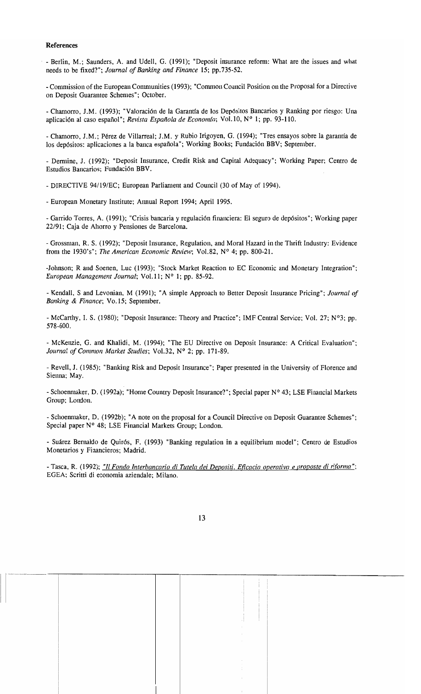#### **References**

- Berlin, M.; Saunders, A. and Udell, G. (1991); "Deposit insurance refonn: What are the issues and what needs to be fixed?"; *Journa! of Ranking and Finance* 15; pp.735-52.

- Connission of the European Communities (1993); "Common Council Position on the Proposal for a Directive on Deposit Guarantee Schemes"; October.

- Chamorro, 1.M. (1993); "Valoración de la Garantía de los Depósitos Bancarios y Ranking por riesgo: Una aplicación al caso español"; *Revista Española de Econom(a;* Vo1.10, N° 1; pp. 93-110.

- Chamorro, 1.M.; Pérez de Villarreal; 1.M. y Rubio 1rigoyen, G. (1994); "Tres ensayos sobre la garantía de los depósitos: aplicaciones a la banca española"; Working Books; Fundación BBV; September.

- Dernline, 1. (1992); "Deposit 1nsurance, Credit Risk and Capital Adequacy"; Working Paper; Centro de Estudios Bancarios; Fundación BBV.

- DIRECTIVE 94/19/EC; European Parliament and Council (30 of May of 1994).

- European Monetary 1nstitute; Annual Report 1994; April 1995.

- Garrido Torres, A. (1991); "Crisis bancaria y regulación financiera: El seguro de depósitos"; Working paper 22/91; Caja de Ahorro y Pensiones de Barcelona.

- Grossman, R. S. (1992); "Deposit Insurance, Regulation, and Moral Hazard in the Thrift 1ndustry: Evidence from the 1930's"; *The American Economic Review;* Vol. 82, N° 4; pp. 800-21.

-lohnson; R and Soenen, Luc (1993); "Stock Market Reaction to EC Economic and Monetary 1ntegration"; *European Management Journa!;* Vo1.11; N° 1; pp. 85-92.

- Kendall, S and Levoruan, M (1991); "A simple Approach to Better Deposit 1nsurance Pricing"; *Journa! of Ranking* & *Finance;* Vo.15; September.

- McCarthy, 1. S. (1980); "Deposit 1nsurance: Theory and Practice"; IMF Central Service; Vol. 27; N°3; pp. 578-600.

- McKenzie, G. and Khalidi, M. (1994); "The EU Directive on Deposit Insurance: A Critical Evaluation"; *Journal of Common Market Studies; Vol.32, Nº 2; pp. 171-89.* 

- Revell, J. (1985); "Banking Risk and Deposit Insurance"; Paper presented in the University of Florence and Sienna; May.

- Schoenmaker, D. (1992a); "Home Country Deposit Insurance?"; Special paper N° 43; LSE Financial Markets Group; London.

- Schoenmaker, D. (1992b); "A note on the proposal for a Council Directive on Deposit Guarantee Schemes"; Special paper N° 48; LSE Financial Markets Group; London.

- Suárez Bernaldo de Quirós, F. (1993) "Banlcing regulation in a equilibrium model"; Centro de Estudios Monetarios y Financieros; Madrid.

- Tasca, R. (1992); *"Il Fondo lnterbancario di Tute!a dei DeDositi. Eficacia operativa e proposte di riforma* "; EGEA; Scritti di economia aziendale; Milano.

13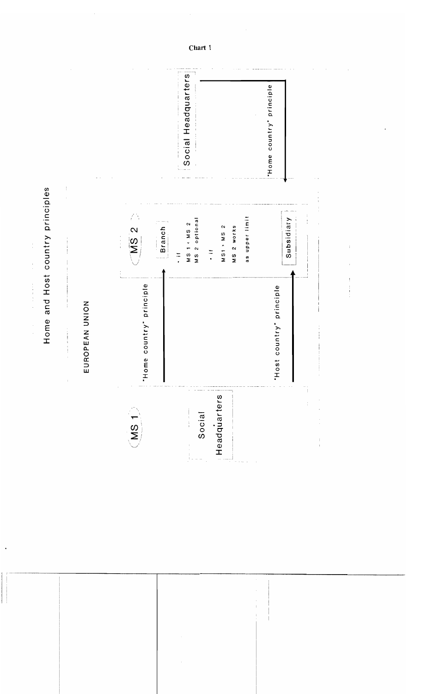Social Headquarters "Home country" principle Home and Host country principles as upper limit Subsidiary MS 2 optional Branch MS 1 < MS 2 MS 2 MS1 > MS 2 MS 2 WOrks  $\frac{1}{2}$  $\frac{1}{2}$ "Home country" principle "Host country" principle EUROPEAN UNION Headquarters  $(MS_1)$ Social  $\frac{1}{1}$ 

 $\frac{1}{2}$ 

 $\frac{1}{2}$ 

 $\frac{1}{2}$ 

 $\overline{\phantom{a}}$ 

Chart 1